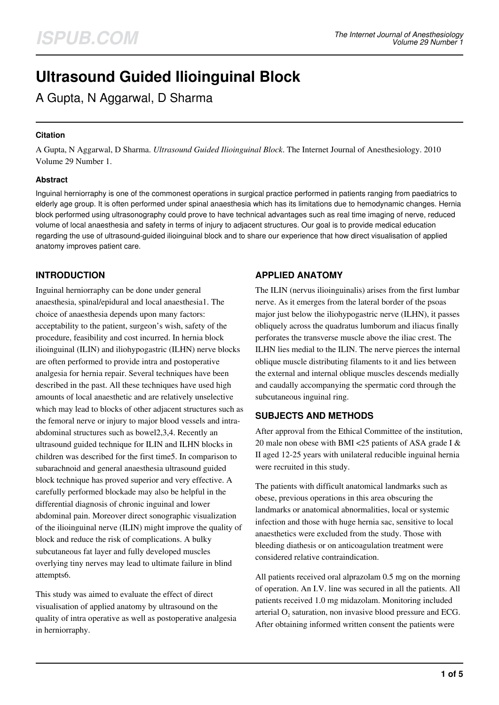# **Ultrasound Guided Ilioinguinal Block**

A Gupta, N Aggarwal, D Sharma

## **Citation**

A Gupta, N Aggarwal, D Sharma. *Ultrasound Guided Ilioinguinal Block*. The Internet Journal of Anesthesiology. 2010 Volume 29 Number 1.

#### **Abstract**

Inguinal herniorraphy is one of the commonest operations in surgical practice performed in patients ranging from paediatrics to elderly age group. It is often performed under spinal anaesthesia which has its limitations due to hemodynamic changes. Hernia block performed using ultrasonography could prove to have technical advantages such as real time imaging of nerve, reduced volume of local anaesthesia and safety in terms of injury to adjacent structures. Our goal is to provide medical education regarding the use of ultrasound-guided ilioinguinal block and to share our experience that how direct visualisation of applied anatomy improves patient care.

# **INTRODUCTION**

Inguinal herniorraphy can be done under general anaesthesia, spinal/epidural and local anaesthesia1. The choice of anaesthesia depends upon many factors: acceptability to the patient, surgeon's wish, safety of the procedure, feasibility and cost incurred. In hernia block ilioinguinal (ILIN) and iliohypogastric (ILHN) nerve blocks are often performed to provide intra and postoperative analgesia for hernia repair. Several techniques have been described in the past. All these techniques have used high amounts of local anaesthetic and are relatively unselective which may lead to blocks of other adjacent structures such as the femoral nerve or injury to major blood vessels and intraabdominal structures such as bowel2,3,4. Recently an ultrasound guided technique for ILIN and ILHN blocks in children was described for the first time5. In comparison to subarachnoid and general anaesthesia ultrasound guided block technique has proved superior and very effective. A carefully performed blockade may also be helpful in the differential diagnosis of chronic inguinal and lower abdominal pain. Moreover direct sonographic visualization of the ilioinguinal nerve (ILIN) might improve the quality of block and reduce the risk of complications. A bulky subcutaneous fat layer and fully developed muscles overlying tiny nerves may lead to ultimate failure in blind attempts6.

This study was aimed to evaluate the effect of direct visualisation of applied anatomy by ultrasound on the quality of intra operative as well as postoperative analgesia in herniorraphy.

## **APPLIED ANATOMY**

The ILIN (nervus ilioinguinalis) arises from the first lumbar nerve. As it emerges from the lateral border of the psoas major just below the iliohypogastric nerve (ILHN), it passes obliquely across the quadratus lumborum and iliacus finally perforates the transverse muscle above the iliac crest. The ILHN lies medial to the ILIN. The nerve pierces the internal oblique muscle distributing filaments to it and lies between the external and internal oblique muscles descends medially and caudally accompanying the spermatic cord through the subcutaneous inguinal ring.

# **SUBJECTS AND METHODS**

After approval from the Ethical Committee of the institution, 20 male non obese with BMI <25 patients of ASA grade I & II aged 12-25 years with unilateral reducible inguinal hernia were recruited in this study.

The patients with difficult anatomical landmarks such as obese, previous operations in this area obscuring the landmarks or anatomical abnormalities, local or systemic infection and those with huge hernia sac, sensitive to local anaesthetics were excluded from the study. Those with bleeding diathesis or on anticoagulation treatment were considered relative contraindication.

All patients received oral alprazolam 0.5 mg on the morning of operation. An I.V. line was secured in all the patients. All patients received 1.0 mg midazolam. Monitoring included arterial  $O_2$  saturation, non invasive blood pressure and ECG. After obtaining informed written consent the patients were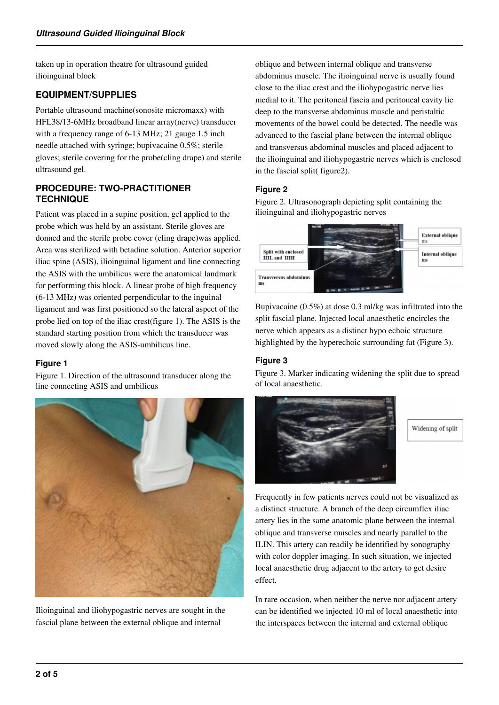taken up in operation theatre for ultrasound guided ilioinguinal block

# **EQUIPMENT/SUPPLIES**

Portable ultrasound machine(sonosite micromaxx) with HFL38/13-6MHz broadband linear array(nerve) transducer with a frequency range of 6-13 MHz; 21 gauge 1.5 inch needle attached with syringe; bupivacaine 0.5%; sterile gloves; sterile covering for the probe(cling drape) and sterile ultrasound gel.

## **PROCEDURE: TWO-PRACTITIONER TECHNIQUE**

Patient was placed in a supine position, gel applied to the probe which was held by an assistant. Sterile gloves are donned and the sterile probe cover (cling drape)was applied. Area was sterilized with betadine solution. Anterior superior iliac spine (ASIS), ilioinguinal ligament and line connecting the ASIS with the umbilicus were the anatomical landmark for performing this block. A linear probe of high frequency (6-13 MHz) was oriented perpendicular to the inguinal ligament and was first positioned so the lateral aspect of the probe lied on top of the iliac crest(figure 1). The ASIS is the standard starting position from which the transducer was moved slowly along the ASIS-umbilicus line.

#### **Figure 1**

Figure 1. Direction of the ultrasound transducer along the line connecting ASIS and umbilicus



Ilioinguinal and iliohypogastric nerves are sought in the fascial plane between the external oblique and internal

oblique and between internal oblique and transverse abdominus muscle. The ilioinguinal nerve is usually found close to the iliac crest and the iliohypogastric nerve lies medial to it. The peritoneal fascia and peritoneal cavity lie deep to the transverse abdominus muscle and peristaltic movements of the bowel could be detected. The needle was advanced to the fascial plane between the internal oblique and transversus abdominal muscles and placed adjacent to the ilioinguinal and iliohypogastric nerves which is enclosed in the fascial split( figure2).

## **Figure 2**

Figure 2. Ultrasonograph depicting split containing the ilioinguinal and iliohypogastric nerves



Bupivacaine (0.5%) at dose 0.3 ml/kg was infiltrated into the split fascial plane. Injected local anaesthetic encircles the nerve which appears as a distinct hypo echoic structure highlighted by the hyperechoic surrounding fat (Figure 3).

## **Figure 3**

Figure 3. Marker indicating widening the split due to spread of local anaesthetic.





Frequently in few patients nerves could not be visualized as a distinct structure. A branch of the deep circumflex iliac artery lies in the same anatomic plane between the internal oblique and transverse muscles and nearly parallel to the ILIN. This artery can readily be identified by sonography with color doppler imaging. In such situation, we injected local anaesthetic drug adjacent to the artery to get desire effect.

In rare occasion, when neither the nerve nor adjacent artery can be identified we injected 10 ml of local anaesthetic into the interspaces between the internal and external oblique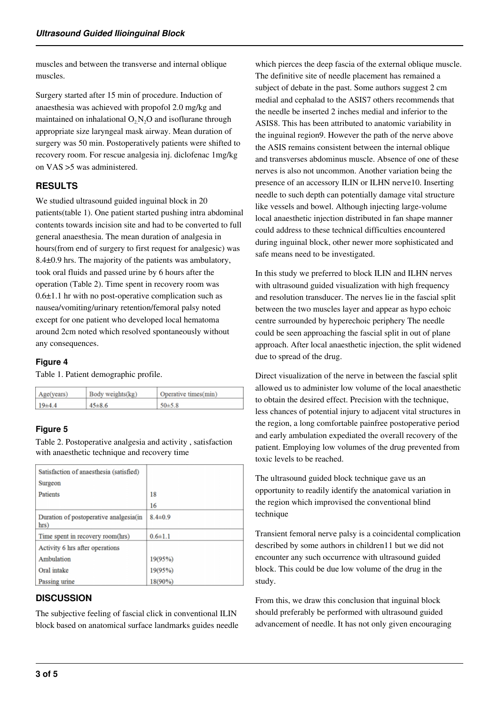muscles and between the transverse and internal oblique muscles.

Surgery started after 15 min of procedure. Induction of anaesthesia was achieved with propofol 2.0 mg/kg and maintained on inhalational  $O_2N_2O$  and isoflurane through appropriate size laryngeal mask airway. Mean duration of surgery was 50 min. Postoperatively patients were shifted to recovery room. For rescue analgesia inj. diclofenac 1mg/kg on VAS >5 was administered.

# **RESULTS**

We studied ultrasound guided inguinal block in 20 patients(table 1). One patient started pushing intra abdominal contents towards incision site and had to be converted to full general anaesthesia. The mean duration of analgesia in hours(from end of surgery to first request for analgesic) was 8.4±0.9 hrs. The majority of the patients was ambulatory, took oral fluids and passed urine by 6 hours after the operation (Table 2). Time spent in recovery room was  $0.6\pm1.1$  hr with no post-operative complication such as nausea/vomiting/urinary retention/femoral palsy noted except for one patient who developed local hematoma around 2cm noted which resolved spontaneously without any consequences.

## **Figure 4**

Table 1. Patient demographic profile.

| Age(years) | Body weights(kg) | Operative times(min) |  |
|------------|------------------|----------------------|--|
| $19+4.4$   | $45 \pm 8.6$     | $50\pm5.8$           |  |

# **Figure 5**

Table 2. Postoperative analgesia and activity , satisfaction with anaesthetic technique and recovery time

| Satisfaction of anaesthesia (satisfied)        |               |
|------------------------------------------------|---------------|
| Surgeon                                        |               |
| <b>Patients</b>                                | 18            |
|                                                | 16            |
| Duration of postoperative analgesia(in<br>hrs) | $8.4 \pm 0.9$ |
| Time spent in recovery room(hrs)               | $0.6 \pm 1.1$ |
| Activity 6 hrs after operations                |               |
| Ambulation                                     | 19(95%)       |
| Oral intake                                    | 19(95%)       |
| Passing urine                                  | 18(90%)       |

# **DISCUSSION**

The subjective feeling of fascial click in conventional ILIN block based on anatomical surface landmarks guides needle which pierces the deep fascia of the external oblique muscle. The definitive site of needle placement has remained a subject of debate in the past. Some authors suggest 2 cm medial and cephalad to the ASIS7 others recommends that the needle be inserted 2 inches medial and inferior to the ASIS8. This has been attributed to anatomic variability in the inguinal region9. However the path of the nerve above the ASIS remains consistent between the internal oblique and transverses abdominus muscle. Absence of one of these nerves is also not uncommon. Another variation being the presence of an accessory ILIN or ILHN nerve10. Inserting needle to such depth can potentially damage vital structure like vessels and bowel. Although injecting large-volume local anaesthetic injection distributed in fan shape manner could address to these technical difficulties encountered during inguinal block, other newer more sophisticated and safe means need to be investigated.

In this study we preferred to block ILIN and ILHN nerves with ultrasound guided visualization with high frequency and resolution transducer. The nerves lie in the fascial split between the two muscles layer and appear as hypo echoic centre surrounded by hyperechoic periphery The needle could be seen approaching the fascial split in out of plane approach. After local anaesthetic injection, the split widened due to spread of the drug.

Direct visualization of the nerve in between the fascial split allowed us to administer low volume of the local anaesthetic to obtain the desired effect. Precision with the technique, less chances of potential injury to adjacent vital structures in the region, a long comfortable painfree postoperative period and early ambulation expediated the overall recovery of the patient. Employing low volumes of the drug prevented from toxic levels to be reached.

The ultrasound guided block technique gave us an opportunity to readily identify the anatomical variation in the region which improvised the conventional blind technique

Transient femoral nerve palsy is a coincidental complication described by some authors in children11 but we did not encounter any such occurrence with ultrasound guided block. This could be due low volume of the drug in the study.

From this, we draw this conclusion that inguinal block should preferably be performed with ultrasound guided advancement of needle. It has not only given encouraging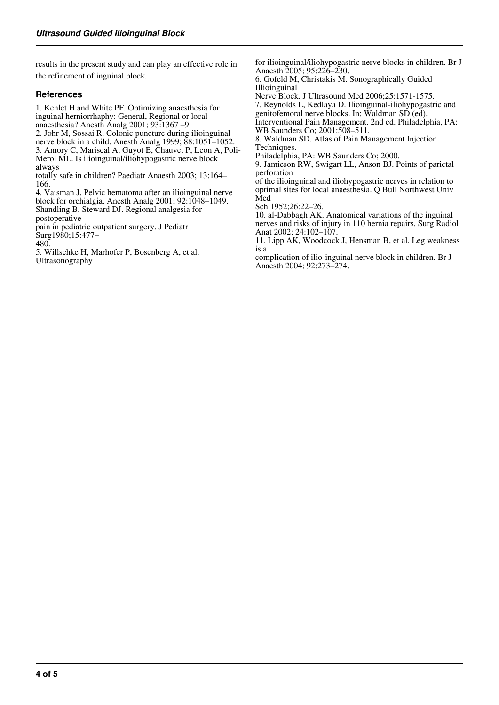results in the present study and can play an effective role in the refinement of inguinal block.

#### **References**

1. Kehlet H and White PF. Optimizing anaesthesia for inguinal herniorrhaphy: General, Regional or local anaesthesia? Anesth Analg 2001; 93:1367 –9. 2. Johr M, Sossai R. Colonic puncture during ilioinguinal nerve block in a child. Anesth Analg 1999; 88:1051–1052. 3. Amory C, Mariscal A, Guyot E, Chauvet P, Leon A, Poli-

Merol ML. Is ilioinguinal/iliohypogastric nerve block always

totally safe in children? Paediatr Anaesth 2003; 13:164– 166.

4. Vaisman J. Pelvic hematoma after an ilioinguinal nerve block for orchialgia. Anesth Analg 2001; 92:1048–1049. Shandling B, Steward DJ. Regional analgesia for postoperative

pain in pediatric outpatient surgery. J Pediatr Surg1980;15:477–

480.

5. Willschke H, Marhofer P, Bosenberg A, et al. Ultrasonography

for ilioinguinal/iliohypogastric nerve blocks in children. Br J Anaesth 2005; 95:226–230.

6. Gofeld M, Christakis M. Sonographically Guided Illioinguinal

Nerve Block. J Ultrasound Med 2006;25:1571-1575.

7. Reynolds L, Kedlaya D. Ilioinguinal-iliohypogastric and genitofemoral nerve blocks. In: Waldman SD (ed).

Interventional Pain Management. 2nd ed. Philadelphia, PA: WB Saunders Co; 2001:508–511.

8. Waldman SD. Atlas of Pain Management Injection Techniques.

Philadelphia, PA: WB Saunders Co; 2000.

9. Jamieson RW, Swigart LL, Anson BJ. Points of parietal perforation

of the ilioinguinal and iliohypogastric nerves in relation to optimal sites for local anaesthesia. Q Bull Northwest Univ Med

Sch 1952;26:22–26.

10. al-Dabbagh AK. Anatomical variations of the inguinal nerves and risks of injury in 110 hernia repairs. Surg Radiol Anat 2002; 24:102–107.

11. Lipp AK, Woodcock J, Hensman B, et al. Leg weakness is a

complication of ilio-inguinal nerve block in children. Br J Anaesth 2004; 92:273–274.